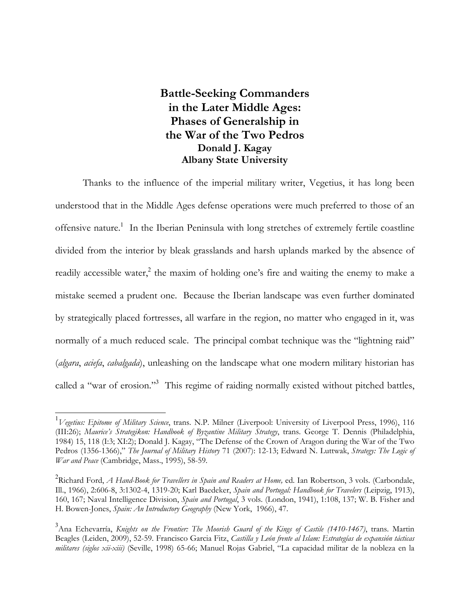**Battle-Seeking Commanders in the Later Middle Ages: Phases of Generalship in the War of the Two Pedros Donald J. Kagay Albany State University**

 Thanks to the influence of the imperial military writer, Vegetius, it has long been understood that in the Middle Ages defense operations were much preferred to those of an offensive nature.<sup>1</sup> In the Iberian Peninsula with long stretches of extremely fertile coastline divided from the interior by bleak grasslands and harsh uplands marked by the absence of readily accessible water,<sup>2</sup> the maxim of holding one's fire and waiting the enemy to make a mistake seemed a prudent one. Because the Iberian landscape was even further dominated by strategically placed fortresses, all warfare in the region, no matter who engaged in it, was normally of a much reduced scale. The principal combat technique was the "lightning raid" (*algara*, *aciefa*, *cabalgada*), unleashing on the landscape what one modern military historian has called a "war of erosion."<sup>3</sup> This regime of raiding normally existed without pitched battles,

<sup>1</sup> *Vegetius: Epitome of Military Science*, trans. N.P. Milner (Liverpool: University of Liverpool Press, 1996), 116 (III:26); *Maurice's Strategikon: Handbook of Byzantine Military Strategy*, trans. George T. Dennis (Philadelphia, 1984) 15, 118 (I:3; XI:2); Donald J. Kagay, "The Defense of the Crown of Aragon during the War of the Two Pedros (1356-1366)," *The Journal of Military History* 71 (2007): 12-13; Edward N. Luttwak, *Strategy: The Logic of War and Peace* (Cambridge, Mass., 1995), 58-59*.*

<sup>&</sup>lt;sup>2</sup> Richard Ford, *A Hand-Book for Travellers in Spain and Readers at Home,* ed. Ian Robertson, 3 vols. (Carbondale, Ill., 1966), 2:606-8, 3:1302-4, 1319-20; Karl Baedeker, *Spain and Portugal: Handbook for Travelers* (Leipzig, 1913), 160, 167; Naval Intelligence Division, *Spain and Portugal*, 3 vols. (London, 1941), 1:108, 137; W. B. Fisher and H. Bowen-Jones, *Spain: An Introductory Geography* (New York, 1966), 47.

<sup>3</sup> Ana Echevarría, *Knights on the Frontier: The Moorish Guard of the Kings of Castile (1410-1467)*, trans. Martin Beagles (Leiden, 2009), 52-59. Francisco Garcia Fitz, *Castilla y León frente al Islam: Estrategías de expansión tácticas militares (siglos xii-xiii)* (Seville, 1998) 65-66; Manuel Rojas Gabriel, "La capacidad militar de la nobleza en la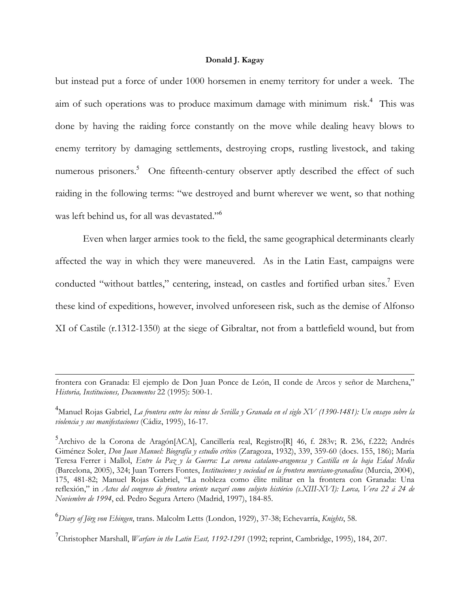but instead put a force of under 1000 horsemen in enemy territory for under a week. The aim of such operations was to produce maximum damage with minimum risk.<sup>4</sup> This was done by having the raiding force constantly on the move while dealing heavy blows to enemy territory by damaging settlements, destroying crops, rustling livestock, and taking numerous prisoners.<sup>5</sup> One fifteenth-century observer aptly described the effect of such raiding in the following terms: "we destroyed and burnt wherever we went, so that nothing was left behind us, for all was devastated."<sup>6</sup>

 Even when larger armies took to the field, the same geographical determinants clearly affected the way in which they were maneuvered. As in the Latin East, campaigns were conducted "without battles," centering, instead, on castles and fortified urban sites.<sup>7</sup> Even these kind of expeditions, however, involved unforeseen risk, such as the demise of Alfonso XI of Castile (r.1312-1350) at the siege of Gibraltar, not from a battlefield wound, but from

frontera con Granada: El ejemplo de Don Juan Ponce de León, II conde de Arcos y señor de Marchena," *Historia, Instituciones, Documentos* 22 (1995): 500-1.

4 Manuel Rojas Gabriel, *La frontera entre los reinos de Sevilla y Granada en el siglo XV (1390-1481): Un ensayo sobre la violencia y sus manifestaciones* (Cádiz, 1995), 16-17.

5<br>Archivo de la Corona de Aragón[ACA], Cancillería real, Registro[R] 46, f. 283v; R. 236, f.222; Andrés Giménez Soler, *Don Juan Manuel: Biografía y estudio crítico* (Zaragoza, 1932), 339, 359-60 (docs. 155, 186); María Teresa Ferrer i Mallol, *Entre la Paz y la Guerra: La corona catalano-aragonesa y Castilla en la baja Edad Media* (Barcelona, 2005), 324; Juan Torrers Fontes, *Instituciones y sociedad en la frontera murciano-granadina* (Murcia, 2004), 175, 481-82; Manuel Rojas Gabriel, "La nobleza como élite militar en la frontera con Granada: Una reflexión," in *Actos del congreso de frontera oriente nazarí como subjeto histórico (s.XIII-XVI): Lorca, Vera 22 á 24 de Noviembre de 1994*, ed. Pedro Segura Artero (Madrid, 1997), 184-85.

6 *Diary of Jörg von Ehingen*, trans. Malcolm Letts (London, 1929), 37-38; Echevarría, *Knights*, 58.

 $\overline{a}$ 

<sup>7</sup>Christopher Marshall, *Warfare in the Latin East, 1192-1291* (1992; reprint, Cambridge, 1995), 184, 207.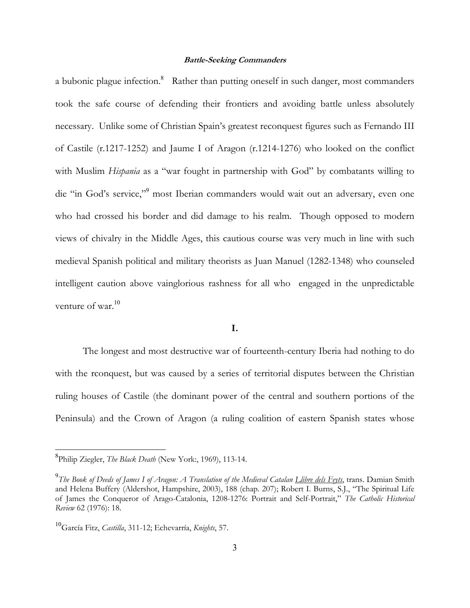a bubonic plague infection.<sup>8</sup> Rather than putting oneself in such danger, most commanders took the safe course of defending their frontiers and avoiding battle unless absolutely necessary. Unlike some of Christian Spain's greatest reconquest figures such as Fernando III of Castile (r.1217-1252) and Jaume I of Aragon (r.1214-1276) who looked on the conflict with Muslim *Hispania* as a "war fought in partnership with God" by combatants willing to die "in God's service,"<sup>9</sup> most Iberian commanders would wait out an adversary, even one who had crossed his border and did damage to his realm. Though opposed to modern views of chivalry in the Middle Ages, this cautious course was very much in line with such medieval Spanish political and military theorists as Juan Manuel (1282-1348) who counseled intelligent caution above vainglorious rashness for all who engaged in the unpredictable venture of war.<sup>10</sup>

## **I.**

 The longest and most destructive war of fourteenth-century Iberia had nothing to do with the rconquest, but was caused by a series of territorial disputes between the Christian ruling houses of Castile (the dominant power of the central and southern portions of the Peninsula) and the Crown of Aragon (a ruling coalition of eastern Spanish states whose

<sup>8</sup> Philip Ziegler, *The Black Death* (New York:, 1969), 113-14.

<sup>&</sup>lt;sup>9</sup>The Book of Deeds of J*ames I of Aragon: A Translation of the Medieval Catalan <u>Llibre dels Feyts</u>, trans. Damian Smith* and Helena Buffery (Aldershot, Hampshire, 2003), 188 (chap. 207); Robert I. Burns, S.J., "The Spiritual Life of James the Conqueror of Arago-Catalonia, 1208-1276: Portrait and Self-Portrait," *The Catholic Historical Review* 62 (1976): 18.

<sup>10</sup>García Fitz, *Castilla*, 311-12; Echevarría, *Knights*, 57.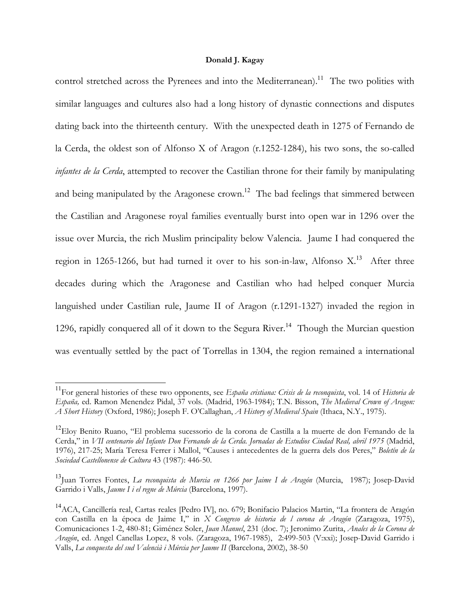control stretched across the Pyrenees and into the Mediterranean).<sup>11</sup> The two polities with similar languages and cultures also had a long history of dynastic connections and disputes dating back into the thirteenth century. With the unexpected death in 1275 of Fernando de la Cerda, the oldest son of Alfonso X of Aragon (r.1252-1284), his two sons, the so-called *infantes de la Cerda*, attempted to recover the Castilian throne for their family by manipulating and being manipulated by the Aragonese crown.<sup>12</sup> The bad feelings that simmered between the Castilian and Aragonese royal families eventually burst into open war in 1296 over the issue over Murcia, the rich Muslim principality below Valencia. Jaume I had conquered the region in 1265-1266, but had turned it over to his son-in-law, Alfonso  $X$ <sup>13</sup> After three decades during which the Aragonese and Castilian who had helped conquer Murcia languished under Castilian rule, Jaume II of Aragon (r.1291-1327) invaded the region in 1296, rapidly conquered all of it down to the Segura River.<sup>14</sup> Though the Murcian question was eventually settled by the pact of Torrellas in 1304, the region remained a international

<sup>11</sup>For general histories of these two opponents, see *España cristiana: Crisis de la reconquista*, vol. 14 of *Historia de España,* ed. Ramon Menendez Pidal, 37 vols. (Madrid, 1963-1984); T.N. Bisson, *The Medieval Crown of Aragon: A Short History* (Oxford, 1986); Joseph F. O'Callaghan, *A History of Medieval Spain* (Ithaca, N.Y., 1975).

<sup>&</sup>lt;sup>12</sup>Eloy Benito Ruano, "El problema sucessorio de la corona de Castilla a la muerte de don Fernando de la Cerda," in *VII centenario del Infante Don Fernando de la Cerda. Jornadas de Estudios Ciudad Real, abril 1975* (Madrid, 1976), 217-25; María Teresa Ferrer i Mallol, "Causes i antecedentes de la guerra dels dos Peres," *Boletín de la Sociedad Castellonense de Cultura* 43 (1987): 446-50.

<sup>&</sup>lt;sup>13</sup>Juan Torres Fontes, *La reconquista de Murcia en 1266 por Jaime I de Aragón* (Murcia, 1987); Josep-David Garrido i Valls, *Jaume I i el regne de Múrcia* (Barcelona, 1997).

<sup>&</sup>lt;sup>14</sup>ACA, Cancillería real, Cartas reales [Pedro IV], no. 679; Bonifacio Palacios Martin, "La frontera de Aragón con Castilla en la época de Jaime I," in *X Congreso de historia de l corona de Aragón* (Zaragoza, 1975), Comunicaciones 1-2, 480-81; Giménez Soler, *Juan Manuel*, 231 (doc. 7); Jeronimo Zurita, *Anales de la Corona de Aragón*, ed. Angel Canellas Lopez, 8 vols. (Zaragoza, 1967-1985), 2:499-503 (V:xxi); Josep-David Garrido i Valls, *La conquesta del sud Valencià i Múrcia per Jaume II* (Barcelona, 2002), 38-50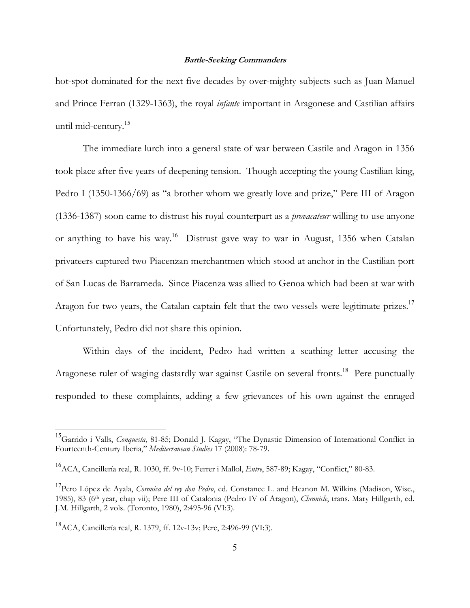hot-spot dominated for the next five decades by over-mighty subjects such as Juan Manuel and Prince Ferran (1329-1363), the royal *infante* important in Aragonese and Castilian affairs until mid-century.<sup>15</sup>

 The immediate lurch into a general state of war between Castile and Aragon in 1356 took place after five years of deepening tension. Though accepting the young Castilian king, Pedro I (1350-1366/69) as "a brother whom we greatly love and prize," Pere III of Aragon (1336-1387) soon came to distrust his royal counterpart as a *provacateur* willing to use anyone or anything to have his way.<sup>16</sup> Distrust gave way to war in August, 1356 when Catalan privateers captured two Piacenzan merchantmen which stood at anchor in the Castilian port of San Lucas de Barrameda. Since Piacenza was allied to Genoa which had been at war with Aragon for two years, the Catalan captain felt that the two vessels were legitimate prizes.<sup>17</sup> Unfortunately, Pedro did not share this opinion.

 Within days of the incident, Pedro had written a scathing letter accusing the Aragonese ruler of waging dastardly war against Castile on several fronts.<sup>18</sup> Pere punctually responded to these complaints, adding a few grievances of his own against the enraged

<sup>15</sup>Garrido i Valls, *Conquesta*, 81-85; Donald J. Kagay, "The Dynastic Dimension of International Conflict in Fourteenth-Century Iberia," *Mediterranean Studies* 17 (2008): 78-79.

<sup>16</sup>ACA, Cancillería real, R. 1030, ff. 9v-10; Ferrer i Mallol, *Entre*, 587-89; Kagay, "Conflict," 80-83.

<sup>&</sup>lt;sup>17</sup>Pero López de Ayala, *Coronica del rey don Pedro*, ed. Constance L. and Heanon M. Wilkins (Madison, Wisc., 1985), 83 (6th year, chap vii); Pere III of Catalonia (Pedro IV of Aragon), *Chronicle*, trans. Mary Hillgarth, ed. J.M. Hillgarth, 2 vols. (Toronto, 1980), 2:495-96 (VI:3).

<sup>18</sup>ACA, Cancillería real, R. 1379, ff. 12v-13v; Pere, 2:496-99 (VI:3).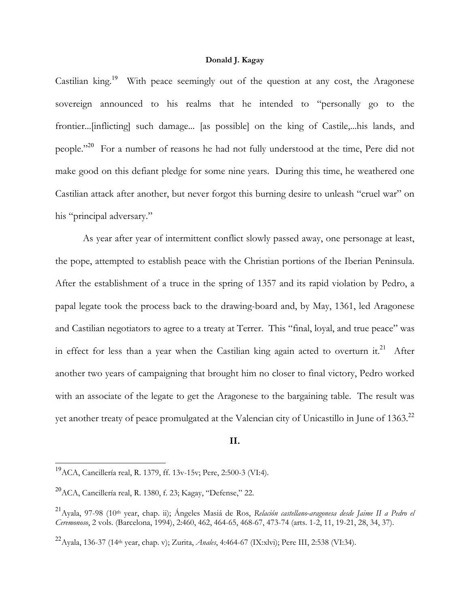Castilian king.<sup>19</sup> With peace seemingly out of the question at any cost, the Aragonese sovereign announced to his realms that he intended to "personally go to the frontier...[inflicting] such damage... [as possible] on the king of Castile,...his lands, and people."<sup>20</sup> For a number of reasons he had not fully understood at the time, Pere did not make good on this defiant pledge for some nine years. During this time, he weathered one Castilian attack after another, but never forgot this burning desire to unleash "cruel war" on his "principal adversary."

 As year after year of intermittent conflict slowly passed away, one personage at least, the pope, attempted to establish peace with the Christian portions of the Iberian Peninsula. After the establishment of a truce in the spring of 1357 and its rapid violation by Pedro, a papal legate took the process back to the drawing-board and, by May, 1361, led Aragonese and Castilian negotiators to agree to a treaty at Terrer. This "final, loyal, and true peace" was in effect for less than a year when the Castilian king again acted to overturn it.<sup>21</sup> After another two years of campaigning that brought him no closer to final victory, Pedro worked with an associate of the legate to get the Aragonese to the bargaining table. The result was yet another treaty of peace promulgated at the Valencian city of Unicastillo in June of 1363.<sup>22</sup>

# **II.**

<sup>19</sup>ACA, Cancillería real, R. 1379, ff. 13v-15v; Pere, 2:500-3 (VI:4).

<sup>20</sup>ACA, Cancillería real, R. 1380, f. 23; Kagay, "Defense," 22.

<sup>&</sup>lt;sup>21</sup> Ayala, 97-98 (10<sup>th</sup> year, chap. ii); Ángeles Masiá de Ros, *Relación castellano-aragonesa desde Jaime II a Pedro el Ceremonoso*, 2 vols. (Barcelona, 1994), 2:460, 462, 464-65, 468-67, 473-74 (arts. 1-2, 11, 19-21, 28, 34, 37).

<sup>22</sup>Ayala, 136-37 (14th year, chap. v); Zurita, *Anales*, 4:464-67 (IX:xlvi); Pere III, 2:538 (VI:34).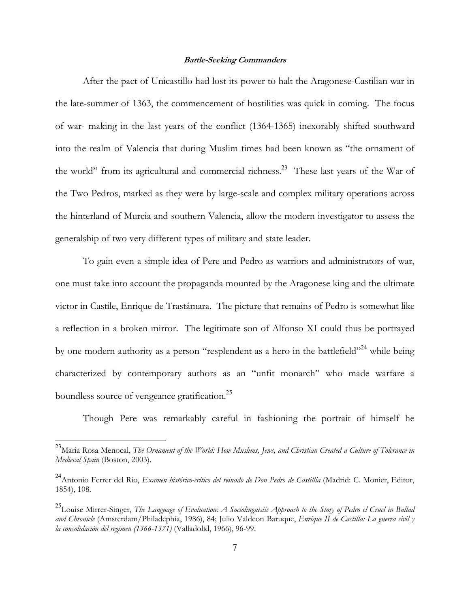After the pact of Unicastillo had lost its power to halt the Aragonese-Castilian war in the late-summer of 1363, the commencement of hostilities was quick in coming. The focus of war- making in the last years of the conflict (1364-1365) inexorably shifted southward into the realm of Valencia that during Muslim times had been known as "the ornament of the world" from its agricultural and commercial richness.<sup>23</sup> These last years of the War of the Two Pedros, marked as they were by large-scale and complex military operations across the hinterland of Murcia and southern Valencia, allow the modern investigator to assess the generalship of two very different types of military and state leader.

 To gain even a simple idea of Pere and Pedro as warriors and administrators of war, one must take into account the propaganda mounted by the Aragonese king and the ultimate victor in Castile, Enrique de Trastámara. The picture that remains of Pedro is somewhat like a reflection in a broken mirror. The legitimate son of Alfonso XI could thus be portrayed by one modern authority as a person "resplendent as a hero in the battlefield"<sup>24</sup> while being characterized by contemporary authors as an "unfit monarch" who made warfare a boundless source of vengeance gratification.<sup>25</sup>

Though Pere was remarkably careful in fashioning the portrait of himself he

<sup>23</sup>Maria Rosa Menocal, *The Ornament of the World: How Muslims, Jews, and Christian Created a Culture of Tolerance in Medieval Spain* (Boston, 2003).

<sup>&</sup>lt;sup>24</sup>Antonio Ferrer del Rio, *Examen histórico-crítico del reinado de Don Pedro de Castillla* (Madrid: C. Monier, Editor, 1854), 108.

<sup>25</sup>Louise Mirrer-Singer, *The Language of Evaluation: A Sociolinguistic Approach to the Story of Pedro el Cruel in Ballad and Chronicle* (Amsterdam/Philadephia, 1986), 84; Julio Valdeon Baruque, *Enrique II de Castilla: La guerra civil y la consolidación del regimen (1366-1371)* (Valladolid, 1966), 96-99.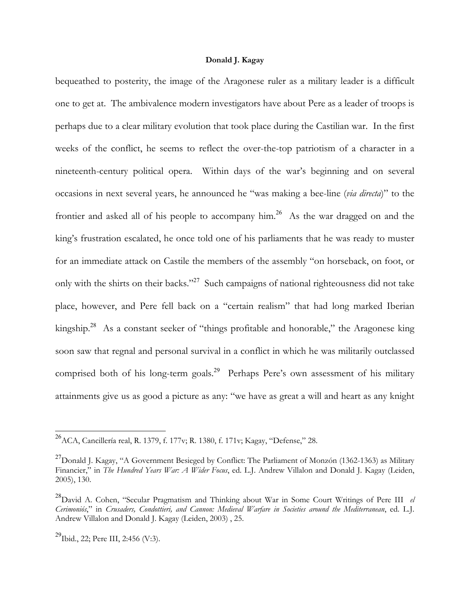bequeathed to posterity, the image of the Aragonese ruler as a military leader is a difficult one to get at. The ambivalence modern investigators have about Pere as a leader of troops is perhaps due to a clear military evolution that took place during the Castilian war. In the first weeks of the conflict, he seems to reflect the over-the-top patriotism of a character in a nineteenth-century political opera. Within days of the war's beginning and on several occasions in next several years, he announced he "was making a bee-line (*via directa*)" to the frontier and asked all of his people to accompany him.<sup>26</sup> As the war dragged on and the king's frustration escalated, he once told one of his parliaments that he was ready to muster for an immediate attack on Castile the members of the assembly "on horseback, on foot, or only with the shirts on their backs."<sup>27</sup> Such campaigns of national righteousness did not take place, however, and Pere fell back on a "certain realism" that had long marked Iberian kingship.<sup>28</sup> As a constant seeker of "things profitable and honorable," the Aragonese king soon saw that regnal and personal survival in a conflict in which he was militarily outclassed comprised both of his long-term goals.<sup>29</sup> Perhaps Pere's own assessment of his military attainments give us as good a picture as any: "we have as great a will and heart as any knight

<sup>&</sup>lt;sup>26</sup> ACA, Cancillería real, R. 1379, f. 177v; R. 1380, f. 171v; Kagay, "Defense," 28.

 $^{27}$ Donald J. Kagay, "A Government Besieged by Conflict: The Parliament of Monzón (1362-1363) as Military Financier," in *The Hundred Years War: A Wider Focus*, ed. L.J. Andrew Villalon and Donald J. Kagay (Leiden, 2005), 130.

<sup>28</sup>David A. Cohen, "Secular Pragmatism and Thinking about War in Some Court Writings of Pere III *el Cerimoniós*," in *Crusaders, Condottieri, and Cannon: Medieval Warfare in Societies around the Mediterranean*, ed. L.J. Andrew Villalon and Donald J. Kagay (Leiden, 2003) , 25.

<sup>&</sup>lt;sup>29</sup>Ibid., 22; Pere III, 2:456 (V:3).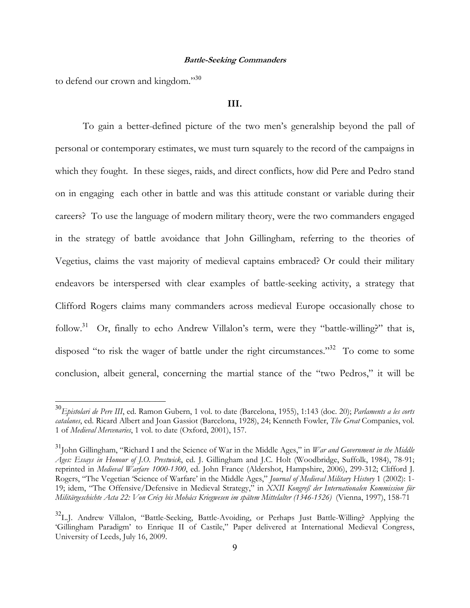to defend our crown and kingdom."<sup>30</sup>

 $\overline{a}$ 

### **III.**

 To gain a better-defined picture of the two men's generalship beyond the pall of personal or contemporary estimates, we must turn squarely to the record of the campaigns in which they fought. In these sieges, raids, and direct conflicts, how did Pere and Pedro stand on in engaging each other in battle and was this attitude constant or variable during their careers? To use the language of modern military theory, were the two commanders engaged in the strategy of battle avoidance that John Gillingham, referring to the theories of Vegetius, claims the vast majority of medieval captains embraced? Or could their military endeavors be interspersed with clear examples of battle-seeking activity, a strategy that Clifford Rogers claims many commanders across medieval Europe occasionally chose to follow.<sup>31</sup> Or, finally to echo Andrew Villalon's term, were they "battle-willing?" that is, disposed "to risk the wager of battle under the right circumstances."<sup>32</sup> To come to some conclusion, albeit general, concerning the martial stance of the "two Pedros," it will be

<sup>30</sup>*Epistolari de Pere III*, ed. Ramon Gubern, 1 vol. to date (Barcelona, 1955), 1:143 (doc. 20); *Parlaments a les corts catalanes*, ed. Ricard Albert and Joan Gassiot (Barcelona, 1928), 24; Kenneth Fowler, *The Great* Companies, vol. 1 of *Medieval Mercenaries*, 1 vol. to date (Oxford, 2001), 157.

<sup>31</sup>John Gillingham, "Richard I and the Science of War in the Middle Ages," in *War and Government in the Middle Ages: Essays in Honour of J.O. Prestwick*, ed. J. Gillingham and J.C. Holt (Woodbridge, Suffolk, 1984), 78-91; reprinted in *Medieval Warfare 1000-1300*, ed. John France (Aldershot, Hampshire, 2006), 299-312; Clifford J. Rogers, "The Vegetian 'Science of Warfare' in the Middle Ages," *Journal of Medieval Military History* 1 (2002): 1- 19; idem, "The Offensive/Defensive in Medieval Strategy," in *XXII Kongreß der Internationalen Kommission für Militärgeschichte Acta 22: Von Crécy bis Mohács Kriegwesen im spätem Mittelalter (1346-1526)* (Vienna, 1997), 158-71

<sup>&</sup>lt;sup>32</sup>L.J. Andrew Villalon, "Battle-Seeking, Battle-Avoiding, or Perhaps Just Battle-Willing? Applying the 'Gillingham Paradigm' to Enrique II of Castile," Paper delivered at International Medieval Congress, University of Leeds, July 16, 2009.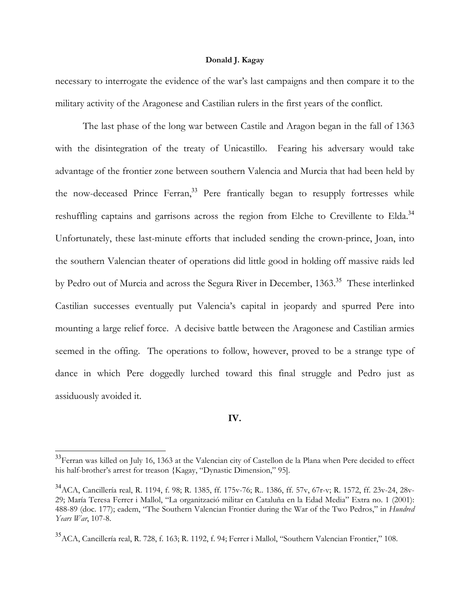necessary to interrogate the evidence of the war's last campaigns and then compare it to the military activity of the Aragonese and Castilian rulers in the first years of the conflict.

 The last phase of the long war between Castile and Aragon began in the fall of 1363 with the disintegration of the treaty of Unicastillo. Fearing his adversary would take advantage of the frontier zone between southern Valencia and Murcia that had been held by the now-deceased Prince Ferran,<sup>33</sup> Pere frantically began to resupply fortresses while reshuffling captains and garrisons across the region from Elche to Crevillente to Elda.<sup>34</sup> Unfortunately, these last-minute efforts that included sending the crown-prince, Joan, into the southern Valencian theater of operations did little good in holding off massive raids led by Pedro out of Murcia and across the Segura River in December, 1363.<sup>35</sup> These interlinked Castilian successes eventually put Valencia's capital in jeopardy and spurred Pere into mounting a large relief force. A decisive battle between the Aragonese and Castilian armies seemed in the offing. The operations to follow, however, proved to be a strange type of dance in which Pere doggedly lurched toward this final struggle and Pedro just as assiduously avoided it.

# **IV.**

<sup>&</sup>lt;sup>33</sup>Ferran was killed on July 16, 1363 at the Valencian city of Castellon de la Plana when Pere decided to effect his half-brother's arrest for treason {Kagay, "Dynastic Dimension," 95].

<sup>34</sup>ACA, Cancillería real, R. 1194, f. 98; R. 1385, ff. 175v-76; R.. 1386, ff. 57v, 67r-v; R. 1572, ff. 23v-24, 28v-29; María Teresa Ferrer i Mallol, "La organització militar en Cataluña en la Edad Media" Extra no. 1 (2001): 488-89 (doc. 177); eadem, "The Southern Valencian Frontier during the War of the Two Pedros," in *Hundred Years War*, 107-8.

<sup>35</sup>ACA, Cancillería real, R. 728, f. 163; R. 1192, f. 94; Ferrer i Mallol, "Southern Valencian Frontier," 108.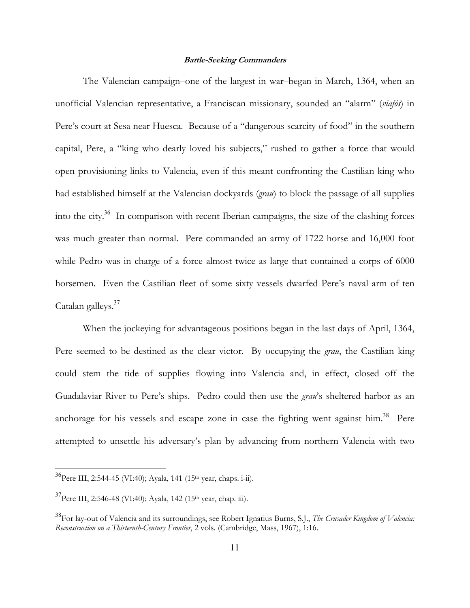The Valencian campaign–one of the largest in war–began in March, 1364, when an unofficial Valencian representative, a Franciscan missionary, sounded an "alarm" (*viafós*) in Pere's court at Sesa near Huesca. Because of a "dangerous scarcity of food" in the southern capital, Pere, a "king who dearly loved his subjects," rushed to gather a force that would open provisioning links to Valencia, even if this meant confronting the Castilian king who had established himself at the Valencian dockyards (*grau*) to block the passage of all supplies into the city.<sup>36</sup> In comparison with recent Iberian campaigns, the size of the clashing forces was much greater than normal. Pere commanded an army of 1722 horse and 16,000 foot while Pedro was in charge of a force almost twice as large that contained a corps of 6000 horsemen. Even the Castilian fleet of some sixty vessels dwarfed Pere's naval arm of ten Catalan galleys.<sup>37</sup>

 When the jockeying for advantageous positions began in the last days of April, 1364, Pere seemed to be destined as the clear victor. By occupying the *grau*, the Castilian king could stem the tide of supplies flowing into Valencia and, in effect, closed off the Guadalaviar River to Pere's ships. Pedro could then use the *grau*'s sheltered harbor as an anchorage for his vessels and escape zone in case the fighting went against him.<sup>38</sup> Pere attempted to unsettle his adversary's plan by advancing from northern Valencia with two

 $^{36}$ Pere III, 2:544-45 (VI:40); Ayala, 141 (15<sup>th</sup> year, chaps. i-ii).

 $37$ Pere III, 2:546-48 (VI:40); Ayala, 142 (15<sup>th</sup> year, chap. iii).

<sup>38</sup>For lay-out of Valencia and its surroundings, see Robert Ignatius Burns, S.J., *The Crusader Kingdom of Valencia: Reconstruction on a Thirteenth-Century Frontier*, 2 vols. (Cambridge, Mass, 1967), 1:16.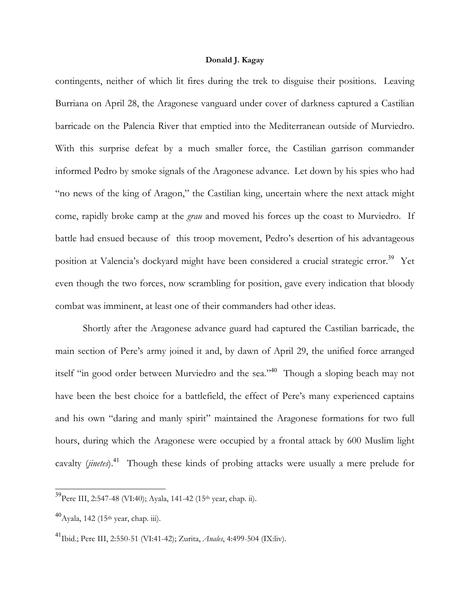contingents, neither of which lit fires during the trek to disguise their positions. Leaving Burriana on April 28, the Aragonese vanguard under cover of darkness captured a Castilian barricade on the Palencia River that emptied into the Mediterranean outside of Murviedro. With this surprise defeat by a much smaller force, the Castilian garrison commander informed Pedro by smoke signals of the Aragonese advance. Let down by his spies who had "no news of the king of Aragon," the Castilian king, uncertain where the next attack might come, rapidly broke camp at the *grau* and moved his forces up the coast to Murviedro. If battle had ensued because of this troop movement, Pedro's desertion of his advantageous position at Valencia's dockyard might have been considered a crucial strategic error.<sup>39</sup> Yet even though the two forces, now scrambling for position, gave every indication that bloody combat was imminent, at least one of their commanders had other ideas.

 Shortly after the Aragonese advance guard had captured the Castilian barricade, the main section of Pere's army joined it and, by dawn of April 29, the unified force arranged itself "in good order between Murviedro and the sea."<sup>40</sup> Though a sloping beach may not have been the best choice for a battlefield, the effect of Pere's many experienced captains and his own "daring and manly spirit" maintained the Aragonese formations for two full hours, during which the Aragonese were occupied by a frontal attack by 600 Muslim light cavalty (*jinetes*).<sup>41</sup> Though these kinds of probing attacks were usually a mere prelude for

<sup>&</sup>lt;sup>39</sup>Pere III, 2:547-48 (VI:40); Ayala, 141-42 (15<sup>th</sup> year, chap. ii).

 $^{40}$ Ayala, 142 (15<sup>th</sup> year, chap. iii).

<sup>41</sup>Ibid.; Pere III, 2:550-51 (VI:41-42); Zurita, *Anales*, 4:499-504 (IX:liv).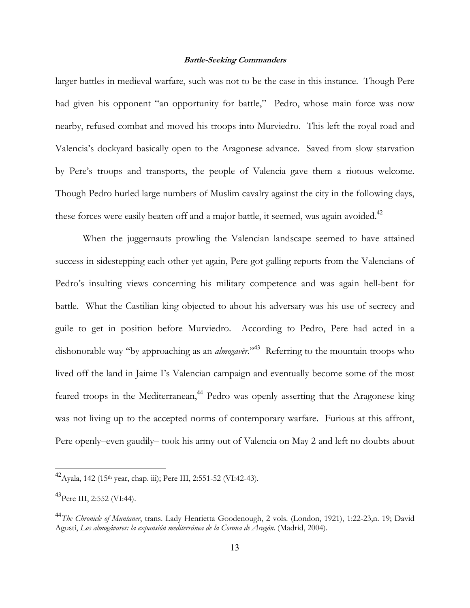larger battles in medieval warfare, such was not to be the case in this instance. Though Pere had given his opponent "an opportunity for battle," Pedro, whose main force was now nearby, refused combat and moved his troops into Murviedro. This left the royal road and Valencia's dockyard basically open to the Aragonese advance. Saved from slow starvation by Pere's troops and transports, the people of Valencia gave them a riotous welcome. Though Pedro hurled large numbers of Muslim cavalry against the city in the following days, these forces were easily beaten off and a major battle, it seemed, was again avoided.<sup>42</sup>

 When the juggernauts prowling the Valencian landscape seemed to have attained success in sidestepping each other yet again, Pere got galling reports from the Valencians of Pedro's insulting views concerning his military competence and was again hell-bent for battle. What the Castilian king objected to about his adversary was his use of secrecy and guile to get in position before Murviedro. According to Pedro, Pere had acted in a dishonorable way "by approaching as an *almogaver*."<sup>43</sup> Referring to the mountain troops who lived off the land in Jaime I's Valencian campaign and eventually become some of the most feared troops in the Mediterranean,<sup>44</sup> Pedro was openly asserting that the Aragonese king was not living up to the accepted norms of contemporary warfare. Furious at this affront, Pere openly–even gaudily– took his army out of Valencia on May 2 and left no doubts about

 $^{42}$ Ayala, 142 (15<sup>th</sup> year, chap. iii); Pere III, 2:551-52 (VI:42-43).

 $^{43}$ Pere III, 2:552 (VI:44).

<sup>44</sup>*The Chronicle of Muntaner*, trans. Lady Henrietta Goodenough, 2 vols. (London, 1921), 1:22-23,n. 19; David Agustí, *Los almogávares: la expansión mediterránea de la Corona de Aragón*. (Madrid, 2004).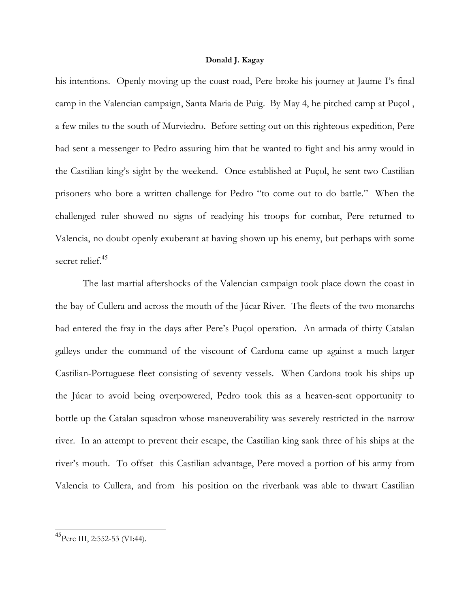his intentions. Openly moving up the coast road, Pere broke his journey at Jaume I's final camp in the Valencian campaign, Santa Maria de Puig. By May 4, he pitched camp at Puçol , a few miles to the south of Murviedro. Before setting out on this righteous expedition, Pere had sent a messenger to Pedro assuring him that he wanted to fight and his army would in the Castilian king's sight by the weekend. Once established at Puçol, he sent two Castilian prisoners who bore a written challenge for Pedro "to come out to do battle." When the challenged ruler showed no signs of readying his troops for combat, Pere returned to Valencia, no doubt openly exuberant at having shown up his enemy, but perhaps with some secret relief.<sup>45</sup>

 The last martial aftershocks of the Valencian campaign took place down the coast in the bay of Cullera and across the mouth of the Júcar River. The fleets of the two monarchs had entered the fray in the days after Pere's Puçol operation. An armada of thirty Catalan galleys under the command of the viscount of Cardona came up against a much larger Castilian-Portuguese fleet consisting of seventy vessels. When Cardona took his ships up the Júcar to avoid being overpowered, Pedro took this as a heaven-sent opportunity to bottle up the Catalan squadron whose maneuverability was severely restricted in the narrow river. In an attempt to prevent their escape, the Castilian king sank three of his ships at the river's mouth. To offset this Castilian advantage, Pere moved a portion of his army from Valencia to Cullera, and from his position on the riverbank was able to thwart Castilian

<sup>&</sup>lt;sup>45</sup>Pere III, 2:552-53 (VI:44).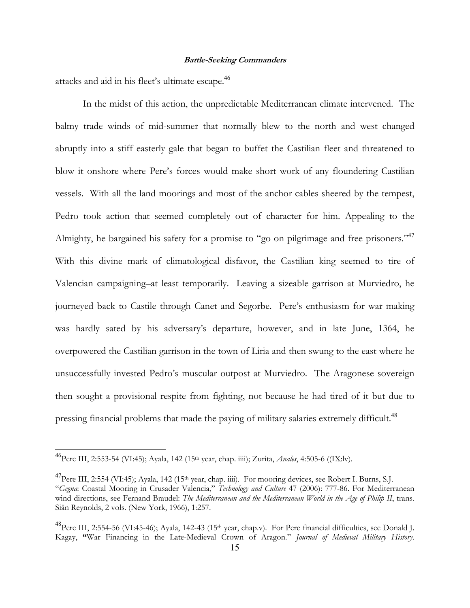attacks and aid in his fleet's ultimate escape.<sup>46</sup>

 In the midst of this action, the unpredictable Mediterranean climate intervened. The balmy trade winds of mid-summer that normally blew to the north and west changed abruptly into a stiff easterly gale that began to buffet the Castilian fleet and threatened to blow it onshore where Pere's forces would make short work of any floundering Castilian vessels. With all the land moorings and most of the anchor cables sheered by the tempest, Pedro took action that seemed completely out of character for him. Appealing to the Almighty, he bargained his safety for a promise to "go on pilgrimage and free prisoners."<sup>47</sup> With this divine mark of climatological disfavor, the Castilian king seemed to tire of Valencian campaigning–at least temporarily. Leaving a sizeable garrison at Murviedro, he journeyed back to Castile through Canet and Segorbe. Pere's enthusiasm for war making was hardly sated by his adversary's departure, however, and in late June, 1364, he overpowered the Castilian garrison in the town of Liria and then swung to the east where he unsuccessfully invested Pedro's muscular outpost at Murviedro. The Aragonese sovereign then sought a provisional respite from fighting, not because he had tired of it but due to pressing financial problems that made the paying of military salaries extremely difficult.<sup>48</sup>

<sup>46</sup>Pere III, 2:553-54 (VI:45); Ayala, 142 (15th year, chap. iiii); Zurita, *Anales*, 4:505-6 ((IX:lv).

<sup>&</sup>lt;sup>47</sup>Pere III, 2:554 (VI:45); Ayala, 142 (15<sup>th</sup> year, chap. iiii). For mooring devices, see Robert I. Burns, S.J. "*Gegna*: Coastal Mooring in Crusader Valencia," *Technology and Culture* 47 (2006): 777-86. For Mediterranean wind directions, see Fernand Braudel: *The Mediterranean and the Mediterranean World in the Age of Philip II*, trans. Siân Reynolds, 2 vols. (New York, 1966), 1:257.

<sup>&</sup>lt;sup>48</sup>Pere III, 2:554-56 (VI:45-46); Ayala, 142-43 (15<sup>th</sup> year, chap.v). For Pere financial difficulties, see Donald J. Kagay, **"**War Financing in the Late-Medieval Crown of Aragon." *Journal of Medieval Military History*.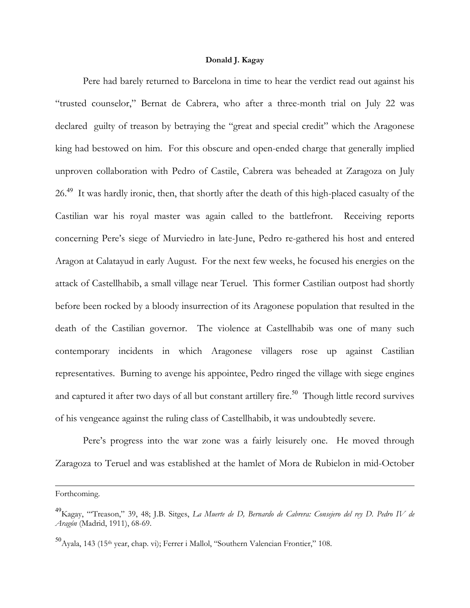Pere had barely returned to Barcelona in time to hear the verdict read out against his "trusted counselor," Bernat de Cabrera, who after a three-month trial on July 22 was declared guilty of treason by betraying the "great and special credit" which the Aragonese king had bestowed on him. For this obscure and open-ended charge that generally implied unproven collaboration with Pedro of Castile, Cabrera was beheaded at Zaragoza on July 26<sup>.49</sup> It was hardly ironic, then, that shortly after the death of this high-placed casualty of the Castilian war his royal master was again called to the battlefront. Receiving reports concerning Pere's siege of Murviedro in late-June, Pedro re-gathered his host and entered Aragon at Calatayud in early August. For the next few weeks, he focused his energies on the attack of Castellhabib, a small village near Teruel. This former Castilian outpost had shortly before been rocked by a bloody insurrection of its Aragonese population that resulted in the death of the Castilian governor. The violence at Castellhabib was one of many such contemporary incidents in which Aragonese villagers rose up against Castilian representatives. Burning to avenge his appointee, Pedro ringed the village with siege engines and captured it after two days of all but constant artillery fire.<sup>50</sup> Though little record survives of his vengeance against the ruling class of Castellhabib, it was undoubtedly severe.

 Pere's progress into the war zone was a fairly leisurely one. He moved through Zaragoza to Teruel and was established at the hamlet of Mora de Rubielon in mid-October

Forthcoming.

<sup>49</sup>Kagay, "'Treason," 39, 48; J.B. Sitges, *La Muerte de D, Bernardo de Cabrera: Consejero del rey D. Pedro IV de Aragón* (Madrid, 1911), 68-69.

 $^{50}$ Ayala, 143 (15<sup>th</sup> year, chap. vi); Ferrer i Mallol, "Southern Valencian Frontier," 108.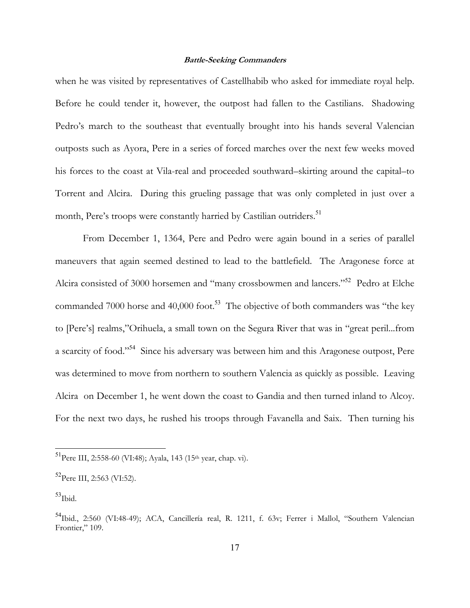when he was visited by representatives of Castellhabib who asked for immediate royal help. Before he could tender it, however, the outpost had fallen to the Castilians. Shadowing Pedro's march to the southeast that eventually brought into his hands several Valencian outposts such as Ayora, Pere in a series of forced marches over the next few weeks moved his forces to the coast at Vila-real and proceeded southward–skirting around the capital–to Torrent and Alcira. During this grueling passage that was only completed in just over a month, Pere's troops were constantly harried by Castilian outriders.<sup>51</sup>

 From December 1, 1364, Pere and Pedro were again bound in a series of parallel maneuvers that again seemed destined to lead to the battlefield. The Aragonese force at Alcira consisted of 3000 horsemen and "many crossbowmen and lancers."<sup>52</sup> Pedro at Elche commanded 7000 horse and 40,000 foot.<sup>53</sup> The objective of both commanders was "the key" to [Pere's] realms,"Orihuela, a small town on the Segura River that was in "great peril...from a scarcity of food."<sup>54</sup> Since his adversary was between him and this Aragonese outpost, Pere was determined to move from northern to southern Valencia as quickly as possible. Leaving Alcira on December 1, he went down the coast to Gandia and then turned inland to Alcoy. For the next two days, he rushed his troops through Favanella and Saix. Then turning his

<sup>&</sup>lt;sup>51</sup>Pere III, 2:558-60 (VI:48); Ayala, 143 (15<sup>th</sup> year, chap. vi).

 $^{52}$ Pere III, 2:563 (VI:52).

 $53$ Ibid.

<sup>&</sup>lt;sup>54</sup>Ibid., 2:560 (VI:48-49); ACA, Cancillería real, R. 1211, f. 63v; Ferrer i Mallol, "Southern Valencian Frontier," 109.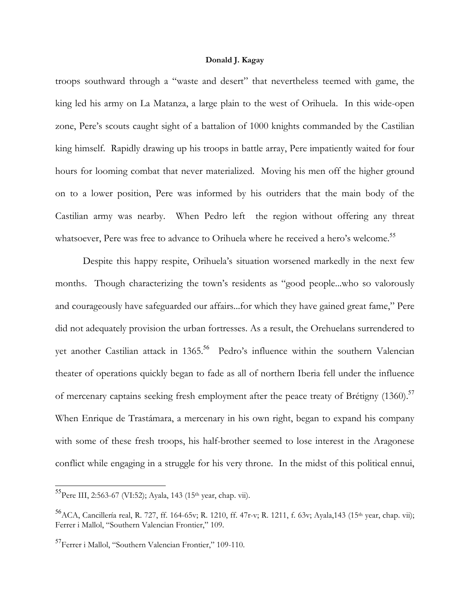troops southward through a "waste and desert" that nevertheless teemed with game, the king led his army on La Matanza, a large plain to the west of Orihuela. In this wide-open zone, Pere's scouts caught sight of a battalion of 1000 knights commanded by the Castilian king himself. Rapidly drawing up his troops in battle array, Pere impatiently waited for four hours for looming combat that never materialized. Moving his men off the higher ground on to a lower position, Pere was informed by his outriders that the main body of the Castilian army was nearby. When Pedro left the region without offering any threat whatsoever, Pere was free to advance to Orihuela where he received a hero's welcome.<sup>55</sup>

 Despite this happy respite, Orihuela's situation worsened markedly in the next few months. Though characterizing the town's residents as "good people...who so valorously and courageously have safeguarded our affairs...for which they have gained great fame," Pere did not adequately provision the urban fortresses. As a result, the Orehuelans surrendered to yet another Castilian attack in 1365.<sup>56</sup> Pedro's influence within the southern Valencian theater of operations quickly began to fade as all of northern Iberia fell under the influence of mercenary captains seeking fresh employment after the peace treaty of Brétigny (1360).<sup>57</sup> When Enrique de Trastámara, a mercenary in his own right, began to expand his company with some of these fresh troops, his half-brother seemed to lose interest in the Aragonese conflict while engaging in a struggle for his very throne. In the midst of this political ennui,

<sup>55</sup>Pere III, 2:563-67 (VI:52); Ayala, 143 (15th year, chap. vii).

 $^{56}$ ACA, Cancillería real, R. 727, ff. 164-65v; R. 1210, ff. 47r-v; R. 1211, f. 63v; Ayala,143 (15<sup>th</sup> year, chap. vii); Ferrer i Mallol, "Southern Valencian Frontier," 109.

 $^{57}$ Ferrer i Mallol, "Southern Valencian Frontier," 109-110.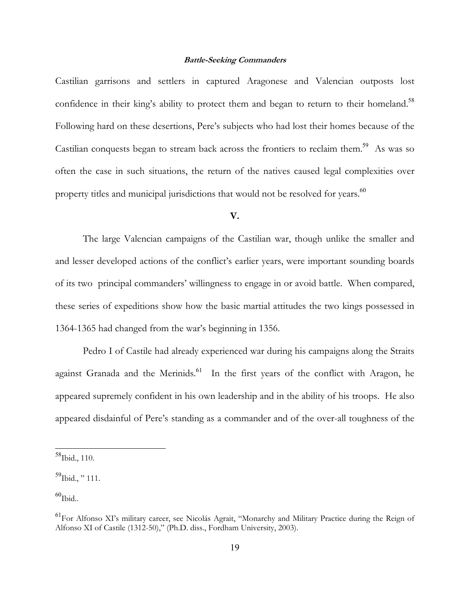Castilian garrisons and settlers in captured Aragonese and Valencian outposts lost confidence in their king's ability to protect them and began to return to their homeland.<sup>58</sup> Following hard on these desertions, Pere's subjects who had lost their homes because of the Castilian conquests began to stream back across the frontiers to reclaim them.<sup>59</sup> As was so often the case in such situations, the return of the natives caused legal complexities over property titles and municipal jurisdictions that would not be resolved for years.<sup>60</sup>

# **V.**

 The large Valencian campaigns of the Castilian war, though unlike the smaller and and lesser developed actions of the conflict's earlier years, were important sounding boards of its two principal commanders' willingness to engage in or avoid battle. When compared, these series of expeditions show how the basic martial attitudes the two kings possessed in 1364-1365 had changed from the war's beginning in 1356.

 Pedro I of Castile had already experienced war during his campaigns along the Straits against Granada and the Merinids. $61$  In the first years of the conflict with Aragon, he appeared supremely confident in his own leadership and in the ability of his troops. He also appeared disdainful of Pere's standing as a commander and of the over-all toughness of the

<sup>58</sup>Ibid., 110.

 $^{59}$ Ibid., "111.

 $60$ Ibid..

<sup>&</sup>lt;sup>61</sup>For Alfonso XI's military career, see Nicolás Agrait, "Monarchy and Military Practice during the Reign of Alfonso XI of Castile (1312-50)," (Ph.D. diss., Fordham University, 2003).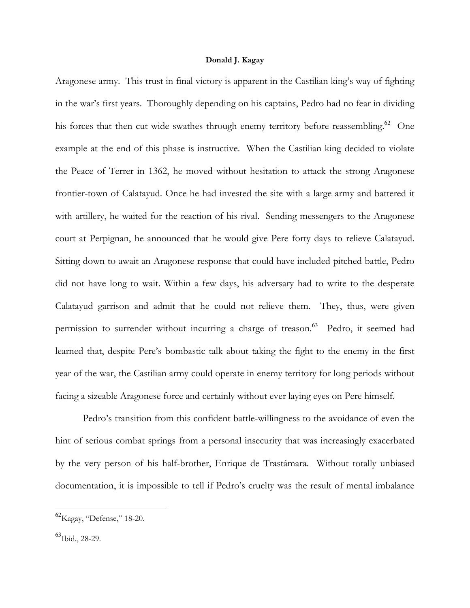Aragonese army. This trust in final victory is apparent in the Castilian king's way of fighting in the war's first years. Thoroughly depending on his captains, Pedro had no fear in dividing his forces that then cut wide swathes through enemy territory before reassembling.<sup>62</sup> One example at the end of this phase is instructive. When the Castilian king decided to violate the Peace of Terrer in 1362, he moved without hesitation to attack the strong Aragonese frontier-town of Calatayud. Once he had invested the site with a large army and battered it with artillery, he waited for the reaction of his rival. Sending messengers to the Aragonese court at Perpignan, he announced that he would give Pere forty days to relieve Calatayud. Sitting down to await an Aragonese response that could have included pitched battle, Pedro did not have long to wait. Within a few days, his adversary had to write to the desperate Calatayud garrison and admit that he could not relieve them. They, thus, were given permission to surrender without incurring a charge of treason.<sup>63</sup> Pedro, it seemed had learned that, despite Pere's bombastic talk about taking the fight to the enemy in the first year of the war, the Castilian army could operate in enemy territory for long periods without facing a sizeable Aragonese force and certainly without ever laying eyes on Pere himself.

 Pedro's transition from this confident battle-willingness to the avoidance of even the hint of serious combat springs from a personal insecurity that was increasingly exacerbated by the very person of his half-brother, Enrique de Trastámara. Without totally unbiased documentation, it is impossible to tell if Pedro's cruelty was the result of mental imbalance

 $^{62}$ Kagay, "Defense," 18-20.

 $^{63}$ Ibid., 28-29.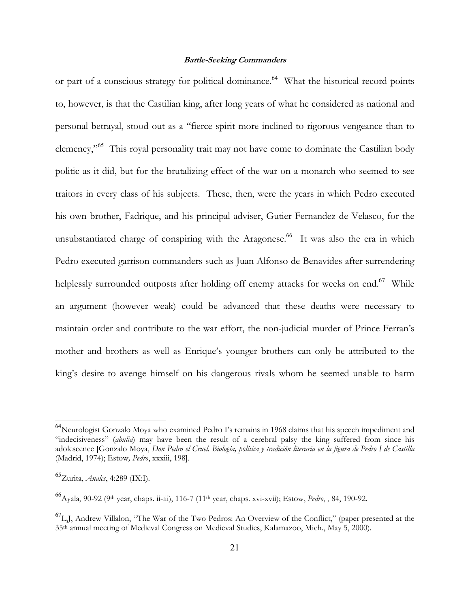or part of a conscious strategy for political dominance.<sup>64</sup> What the historical record points to, however, is that the Castilian king, after long years of what he considered as national and personal betrayal, stood out as a "fierce spirit more inclined to rigorous vengeance than to clemency,"<sup>65</sup> This royal personality trait may not have come to dominate the Castilian body politic as it did, but for the brutalizing effect of the war on a monarch who seemed to see traitors in every class of his subjects. These, then, were the years in which Pedro executed his own brother, Fadrique, and his principal adviser, Gutier Fernandez de Velasco, for the unsubstantiated charge of conspiring with the Aragonese.<sup>66</sup> It was also the era in which Pedro executed garrison commanders such as Juan Alfonso de Benavides after surrendering helplessly surrounded outposts after holding off enemy attacks for weeks on end.<sup>67</sup> While an argument (however weak) could be advanced that these deaths were necessary to maintain order and contribute to the war effort, the non-judicial murder of Prince Ferran's mother and brothers as well as Enrique's younger brothers can only be attributed to the king's desire to avenge himself on his dangerous rivals whom he seemed unable to harm

l

<sup>&</sup>lt;sup>64</sup>Neurologist Gonzalo Moya who examined Pedro I's remains in 1968 claims that his speech impediment and "indecisiveness" (*abulia*) may have been the result of a cerebral palsy the king suffered from since his adolescence [Gonzalo Moya, *Don Pedro el Cruel. Biología, política y tradición literaria en la figura de Pedro I de Castilla* (Madrid, 1974); Estow*, Pedro*, xxxiii, 198].

<sup>65</sup>Zurita, *Anales*, 4:289 (IX:I).

<sup>66</sup>Ayala, 90-92 (9th year, chaps. ii-iii), 116-7 (11th year, chaps. xvi-xvii); Estow, *Pedro*, , 84, 190-92.

 ${}^{67}$ L,J, Andrew Villalon, "The War of the Two Pedros: An Overview of the Conflict," (paper presented at the 35th annual meeting of Medieval Congress on Medieval Studies, Kalamazoo, Mich., May 5, 2000).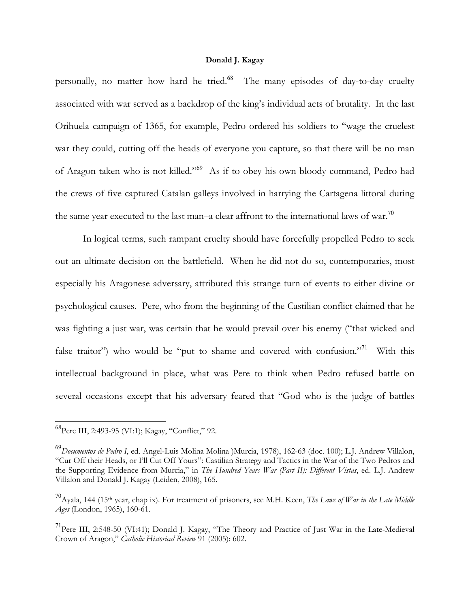personally, no matter how hard he tried.<sup>68</sup> The many episodes of day-to-day cruelty associated with war served as a backdrop of the king's individual acts of brutality. In the last Orihuela campaign of 1365, for example, Pedro ordered his soldiers to "wage the cruelest war they could, cutting off the heads of everyone you capture, so that there will be no man of Aragon taken who is not killed."<sup>69</sup> As if to obey his own bloody command, Pedro had the crews of five captured Catalan galleys involved in harrying the Cartagena littoral during the same year executed to the last man–a clear affront to the international laws of war.<sup>70</sup>

 In logical terms, such rampant cruelty should have forcefully propelled Pedro to seek out an ultimate decision on the battlefield. When he did not do so, contemporaries, most especially his Aragonese adversary, attributed this strange turn of events to either divine or psychological causes. Pere, who from the beginning of the Castilian conflict claimed that he was fighting a just war, was certain that he would prevail over his enemy ("that wicked and false traitor") who would be "put to shame and covered with confusion."<sup>71</sup> With this intellectual background in place, what was Pere to think when Pedro refused battle on several occasions except that his adversary feared that "God who is the judge of battles

<sup>&</sup>lt;sup>68</sup>Pere III, 2:493-95 (VI:1); Kagay, "Conflict," 92.

<sup>69</sup>*Documentos de Pedro I*, ed. Angel-Luis Molina Molina )Murcia, 1978), 162-63 (doc. 100); L.J. Andrew Villalon, "Cur Off their Heads, or I'll Cut Off Yours": Castilian Strategy and Tactics in the War of the Two Pedros and the Supporting Evidence from Murcia," in *The Hundred Years War (Part II): Different Vistas*, ed. L.J. Andrew Villalon and Donald J. Kagay (Leiden, 2008), 165.

<sup>70</sup>Ayala, 144 (15th year, chap ix). For treatment of prisoners, see M.H. Keen, *The Laws of War in the Late Middle Ages* (London, 1965), 160-61.

<sup>&</sup>lt;sup>71</sup>Pere III, 2:548-50 (VI:41); Donald J. Kagay, "The Theory and Practice of Just War in the Late-Medieval Crown of Aragon," *Catholic Historical Review* 91 (2005): 602.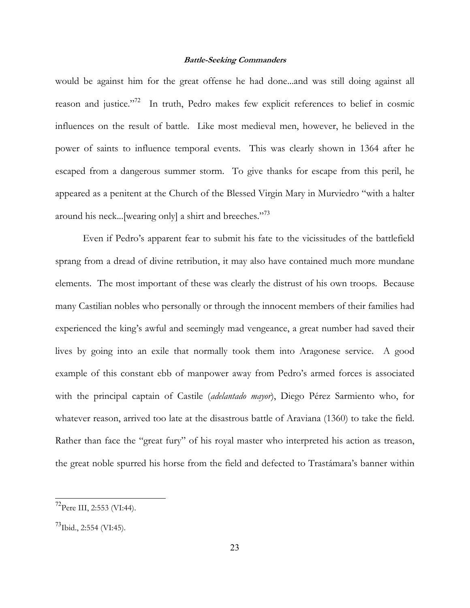would be against him for the great offense he had done...and was still doing against all reason and justice."<sup>72</sup> In truth, Pedro makes few explicit references to belief in cosmic influences on the result of battle. Like most medieval men, however, he believed in the power of saints to influence temporal events. This was clearly shown in 1364 after he escaped from a dangerous summer storm. To give thanks for escape from this peril, he appeared as a penitent at the Church of the Blessed Virgin Mary in Murviedro "with a halter around his neck...[wearing only] a shirt and breeches."<sup>73</sup>

 Even if Pedro's apparent fear to submit his fate to the vicissitudes of the battlefield sprang from a dread of divine retribution, it may also have contained much more mundane elements. The most important of these was clearly the distrust of his own troops. Because many Castilian nobles who personally or through the innocent members of their families had experienced the king's awful and seemingly mad vengeance, a great number had saved their lives by going into an exile that normally took them into Aragonese service. A good example of this constant ebb of manpower away from Pedro's armed forces is associated with the principal captain of Castile (*adelantado mayor*), Diego Pérez Sarmiento who, for whatever reason, arrived too late at the disastrous battle of Araviana (1360) to take the field. Rather than face the "great fury" of his royal master who interpreted his action as treason, the great noble spurred his horse from the field and defected to Trastámara's banner within

<sup>72</sup>Pere III, 2:553 (VI:44).

 $^{73}$ Ibid., 2:554 (VI:45).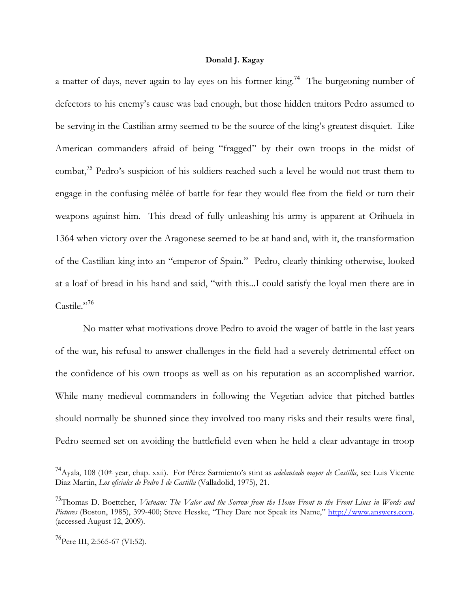a matter of days, never again to lay eyes on his former king.<sup>74</sup> The burgeoning number of defectors to his enemy's cause was bad enough, but those hidden traitors Pedro assumed to be serving in the Castilian army seemed to be the source of the king's greatest disquiet. Like American commanders afraid of being "fragged" by their own troops in the midst of combat,<sup>75</sup> Pedro's suspicion of his soldiers reached such a level he would not trust them to engage in the confusing mêlée of battle for fear they would flee from the field or turn their weapons against him. This dread of fully unleashing his army is apparent at Orihuela in 1364 when victory over the Aragonese seemed to be at hand and, with it, the transformation of the Castilian king into an "emperor of Spain." Pedro, clearly thinking otherwise, looked at a loaf of bread in his hand and said, "with this...I could satisfy the loyal men there are in Castile."<sup>76</sup>

 No matter what motivations drove Pedro to avoid the wager of battle in the last years of the war, his refusal to answer challenges in the field had a severely detrimental effect on the confidence of his own troops as well as on his reputation as an accomplished warrior. While many medieval commanders in following the Vegetian advice that pitched battles should normally be shunned since they involved too many risks and their results were final, Pedro seemed set on avoiding the battlefield even when he held a clear advantage in troop

<sup>&</sup>lt;sup>74</sup> Ayala, 108 (10<sup>th</sup> year, chap. xxii). For Pérez Sarmiento's stint as *adelantado mayor de Castilla*, see Luis Vicente Diaz Martin, *Los oficiales de Pedro I de Castilla* (Valladolid, 1975), 21.

<sup>75</sup>Thomas D. Boettcher, *Vietnam: The Valor and the Sorrow from the Home Front to the Front Lines in Words and Pictures* (Boston, 1985), 399-400; Steve Hesske, "They Dare not Speak its Name," http://www.answers.com. (accessed August 12, 2009).

 $^{76}$ Pere III, 2:565-67 (VI:52).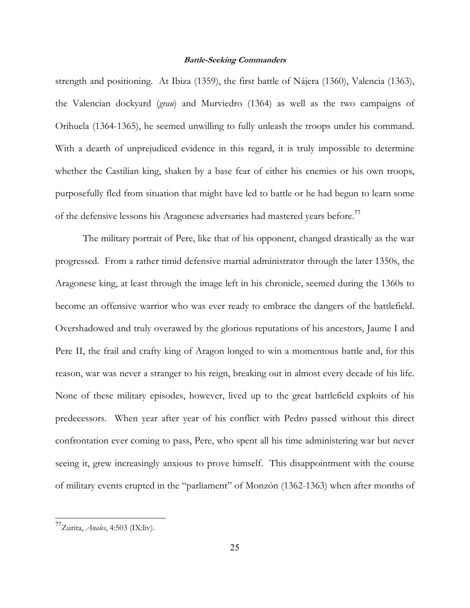strength and positioning. At Ibiza (1359), the first battle of Nájera (1360), Valencia (1363), the Valencian dockyard (*grau*) and Murviedro (1364) as well as the two campaigns of Orihuela (1364-1365), he seemed unwilling to fully unleash the troops under his command. With a dearth of unprejudiced evidence in this regard, it is truly impossible to determine whether the Castilian king, shaken by a base fear of either his enemies or his own troops, purposefully fled from situation that might have led to battle or he had begun to learn some of the defensive lessons his Aragonese adversaries had mastered years before.<sup>77</sup>

 The military portrait of Pere, like that of his opponent, changed drastically as the war progressed. From a rather timid defensive martial administrator through the later 1350s, the Aragonese king, at least through the image left in his chronicle, seemed during the 1360s to become an offensive warrior who was ever ready to embrace the dangers of the battlefield. Overshadowed and truly overawed by the glorious reputations of his ancestors, Jaume I and Pere II, the frail and crafty king of Aragon longed to win a momentous battle and, for this reason, war was never a stranger to his reign, breaking out in almost every decade of his life. None of these military episodes, however, lived up to the great battlefield exploits of his predecessors. When year after year of his conflict with Pedro passed without this direct confrontation ever coming to pass, Pere, who spent all his time administering war but never seeing it, grew increasingly anxious to prove himself. This disappointment with the course of military events erupted in the "parliament" of Monzón (1362-1363) when after months of

<sup>77</sup>Zurita, *Anales*, 4:503 (IX:liv).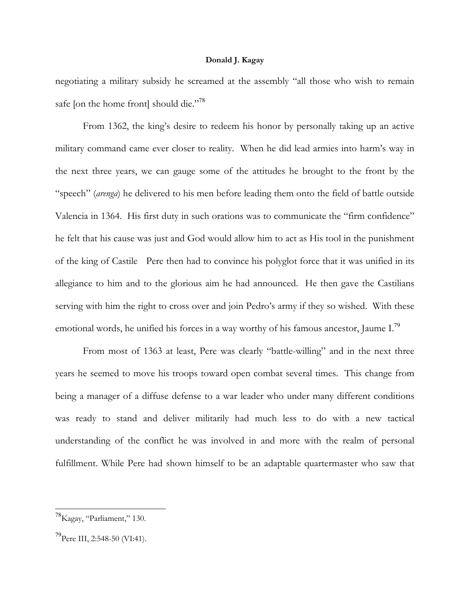negotiating a military subsidy he screamed at the assembly "all those who wish to remain safe [on the home front] should die."<sup>78</sup>

 From 1362, the king's desire to redeem his honor by personally taking up an active military command came ever closer to reality. When he did lead armies into harm's way in the next three years, we can gauge some of the attitudes he brought to the front by the "speech" (*arenga*) he delivered to his men before leading them onto the field of battle outside Valencia in 1364. His first duty in such orations was to communicate the "firm confidence" he felt that his cause was just and God would allow him to act as His tool in the punishment of the king of Castile Pere then had to convince his polyglot force that it was unified in its allegiance to him and to the glorious aim he had announced. He then gave the Castilians serving with him the right to cross over and join Pedro's army if they so wished. With these emotional words, he unified his forces in a way worthy of his famous ancestor, Jaume I.<sup>79</sup>

 From most of 1363 at least, Pere was clearly "battle-willing" and in the next three years he seemed to move his troops toward open combat several times. This change from being a manager of a diffuse defense to a war leader who under many different conditions was ready to stand and deliver militarily had much less to do with a new tactical understanding of the conflict he was involved in and more with the realm of personal fulfillment. While Pere had shown himself to be an adaptable quartermaster who saw that

<sup>&</sup>lt;sup>78</sup>Kagay, "Parliament," 130.

 $^{79}$ Pere III, 2:548-50 (VI:41).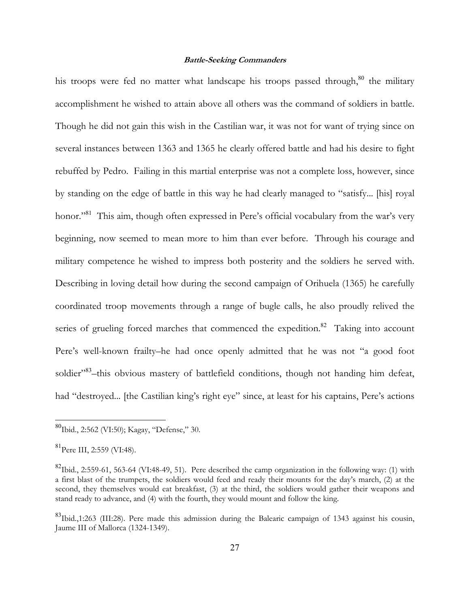his troops were fed no matter what landscape his troops passed through,<sup>80</sup> the military accomplishment he wished to attain above all others was the command of soldiers in battle. Though he did not gain this wish in the Castilian war, it was not for want of trying since on several instances between 1363 and 1365 he clearly offered battle and had his desire to fight rebuffed by Pedro. Failing in this martial enterprise was not a complete loss, however, since by standing on the edge of battle in this way he had clearly managed to "satisfy... [his] royal honor."<sup>81</sup> This aim, though often expressed in Pere's official vocabulary from the war's very beginning, now seemed to mean more to him than ever before. Through his courage and military competence he wished to impress both posterity and the soldiers he served with. Describing in loving detail how during the second campaign of Orihuela (1365) he carefully coordinated troop movements through a range of bugle calls, he also proudly relived the series of grueling forced marches that commenced the expedition. $82$  Taking into account Pere's well-known frailty–he had once openly admitted that he was not "a good foot soldier"<sup>83</sup>-this obvious mastery of battlefield conditions, though not handing him defeat, had "destroyed... [the Castilian king's right eye" since, at least for his captains, Pere's actions

l

 $^{80}$ Ibid., 2:562 (VI:50); Kagay, "Defense," 30.

 ${}^{81}$ Pere III, 2:559 (VI:48).

<sup>82</sup>Ibid., 2:559-61, 563-64 (VI:48-49, 51). Pere described the camp organization in the following way: (1) with a first blast of the trumpets, the soldiers would feed and ready their mounts for the day's march, (2) at the second, they themselves would eat breakfast, (3) at the third, the soldiers would gather their weapons and stand ready to advance, and (4) with the fourth, they would mount and follow the king.

<sup>&</sup>lt;sup>83</sup>Ibid.,1:263 (III:28). Pere made this admission during the Balearic campaign of 1343 against his cousin, Jaume III of Mallorca (1324-1349).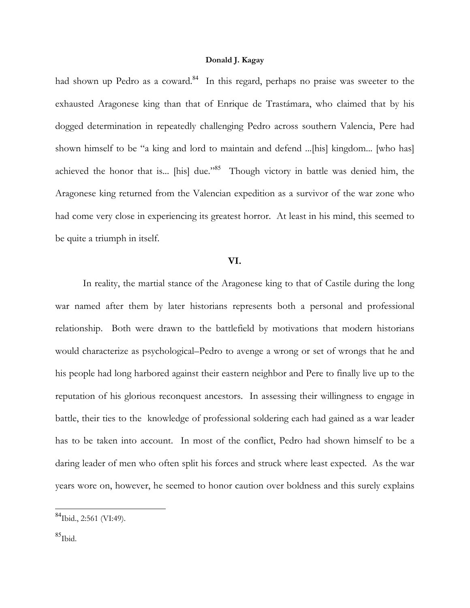had shown up Pedro as a coward.<sup>84</sup> In this regard, perhaps no praise was sweeter to the exhausted Aragonese king than that of Enrique de Trastámara, who claimed that by his dogged determination in repeatedly challenging Pedro across southern Valencia, Pere had shown himself to be "a king and lord to maintain and defend ...[his] kingdom... [who has] achieved the honor that is... [his] due."<sup>85</sup> Though victory in battle was denied him, the Aragonese king returned from the Valencian expedition as a survivor of the war zone who had come very close in experiencing its greatest horror. At least in his mind, this seemed to be quite a triumph in itself.

### **VI.**

In reality, the martial stance of the Aragonese king to that of Castile during the long war named after them by later historians represents both a personal and professional relationship. Both were drawn to the battlefield by motivations that modern historians would characterize as psychological–Pedro to avenge a wrong or set of wrongs that he and his people had long harbored against their eastern neighbor and Pere to finally live up to the reputation of his glorious reconquest ancestors. In assessing their willingness to engage in battle, their ties to the knowledge of professional soldering each had gained as a war leader has to be taken into account. In most of the conflict, Pedro had shown himself to be a daring leader of men who often split his forces and struck where least expected. As the war years wore on, however, he seemed to honor caution over boldness and this surely explains

<sup>&</sup>lt;sup>84</sup>Ibid., 2:561 (VI:49).

 $85$ Ibid.